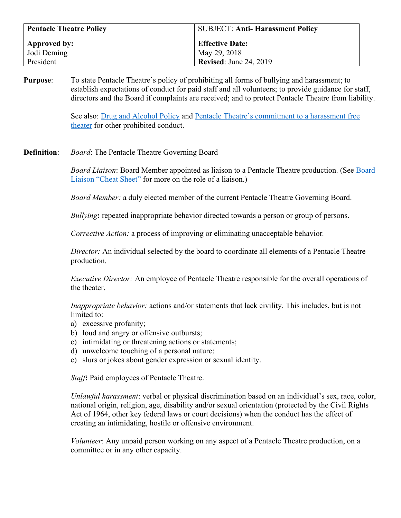| <b>Pentacle Theatre Policy</b> | <b>SUBJECT: Anti-Harassment Policy</b> |
|--------------------------------|----------------------------------------|
| Approved by:                   | <b>Effective Date:</b>                 |
| Jodi Deming                    | May 29, 2018                           |
| President                      | <b>Revised:</b> June 24, 2019          |

**Purpose**: To state Pentacle Theatre's policy of prohibiting all forms of bullying and harassment; to establish expectations of conduct for paid staff and all volunteers; to provide guidance for staff, directors and the Board if complaints are received; and to protect Pentacle Theatre from liability.

> See also: [Drug and Alcohol Policy](https://pentacletheatre.org/wp-content/uploads/2022/01/Drug-and-Alcohol-Policy-6.22.15.pdf) and [Pentacle Theatre's commitment to a harassment free](https://pentacletheatre.org/wp-content/uploads/2022/01/Sexual-harassment-statement-final-3.5.18.pdf)  [theater](https://pentacletheatre.org/wp-content/uploads/2022/01/Sexual-harassment-statement-final-3.5.18.pdf) for other prohibited conduct.

**Definition**: *Board*: The Pentacle Theatre Governing Board

*Board Liaison*: Board Member appointed as liaison to a Pentacle Theatre production. (See [Board](https://pentacletheatre.org/wp-content/uploads/2022/01/BoardLiaison-CheatSheet-7.20.21.pdf)  [Liaison "Cheat Sheet"](https://pentacletheatre.org/wp-content/uploads/2022/01/BoardLiaison-CheatSheet-7.20.21.pdf) for more on the role of a liaison.)

*Board Member:* a duly elected member of the current Pentacle Theatre Governing Board.

*Bullying***:** repeated inappropriate behavior directed towards a person or group of persons.

*Corrective Action:* a process of improving or eliminating unacceptable behavior*.*

*Director:* An individual selected by the board to coordinate all elements of a Pentacle Theatre production.

*Executive Director:* An employee of Pentacle Theatre responsible for the overall operations of the theater.

*Inappropriate behavior:* actions and/or statements that lack civility. This includes, but is not limited to:

- a) excessive profanity;
- b) loud and angry or offensive outbursts;
- c) intimidating or threatening actions or statements;
- d) unwelcome touching of a personal nature;
- e) slurs or jokes about gender expression or sexual identity.

*Staff***:** Paid employees of Pentacle Theatre.

*Unlawful harassment*: verbal or physical discrimination based on an individual's sex, race, color, national origin, religion, age, disability and/or sexual orientation (protected by the Civil Rights Act of 1964, other key federal laws or court decisions) when the conduct has the effect of creating an intimidating, hostile or offensive environment.

*Volunteer*: Any unpaid person working on any aspect of a Pentacle Theatre production, on a committee or in any other capacity.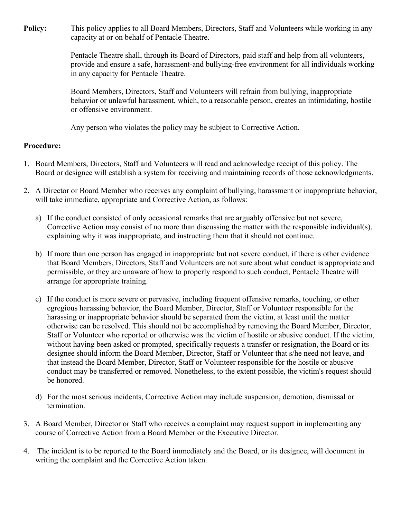**Policy:** This policy applies to all Board Members, Directors, Staff and Volunteers while working in any capacity at or on behalf of Pentacle Theatre.

> Pentacle Theatre shall, through its Board of Directors, paid staff and help from all volunteers, provide and ensure a safe, harassment-and bullying-free environment for all individuals working in any capacity for Pentacle Theatre.

Board Members, Directors, Staff and Volunteers will refrain from bullying, inappropriate behavior or unlawful harassment, which, to a reasonable person, creates an intimidating, hostile or offensive environment.

Any person who violates the policy may be subject to Corrective Action.

## **Procedure:**

- 1. Board Members, Directors, Staff and Volunteers will read and acknowledge receipt of this policy. The Board or designee will establish a system for receiving and maintaining records of those acknowledgments.
- 2. A Director or Board Member who receives any complaint of bullying, harassment or inappropriate behavior, will take immediate, appropriate and Corrective Action, as follows:
	- a) If the conduct consisted of only occasional remarks that are arguably offensive but not severe, Corrective Action may consist of no more than discussing the matter with the responsible individual(s), explaining why it was inappropriate, and instructing them that it should not continue.
	- b) If more than one person has engaged in inappropriate but not severe conduct, if there is other evidence that Board Members, Directors, Staff and Volunteers are not sure about what conduct is appropriate and permissible, or they are unaware of how to properly respond to such conduct, Pentacle Theatre will arrange for appropriate training.
	- c) If the conduct is more severe or pervasive, including frequent offensive remarks, touching, or other egregious harassing behavior, the Board Member, Director, Staff or Volunteer responsible for the harassing or inappropriate behavior should be separated from the victim, at least until the matter otherwise can be resolved. This should not be accomplished by removing the Board Member, Director, Staff or Volunteer who reported or otherwise was the victim of hostile or abusive conduct. If the victim, without having been asked or prompted, specifically requests a transfer or resignation, the Board or its designee should inform the Board Member, Director, Staff or Volunteer that s/he need not leave, and that instead the Board Member, Director, Staff or Volunteer responsible for the hostile or abusive conduct may be transferred or removed. Nonetheless, to the extent possible, the victim's request should be honored.
	- d) For the most serious incidents, Corrective Action may include suspension, demotion, dismissal or termination.
- 3. A Board Member, Director or Staff who receives a complaint may request support in implementing any course of Corrective Action from a Board Member or the Executive Director.
- 4. The incident is to be reported to the Board immediately and the Board, or its designee, will document in writing the complaint and the Corrective Action taken.